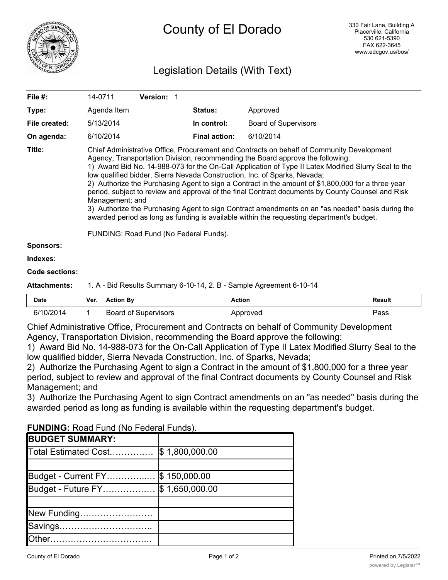

# Legislation Details (With Text)

| File #:             | 14-0711                                                                                                                                                                                                                                                                                                                                                                                                                                                                                                                                                                                                                                                                                                                                                                                                                                   | <b>Version: 1</b> |                      |                             |  |
|---------------------|-------------------------------------------------------------------------------------------------------------------------------------------------------------------------------------------------------------------------------------------------------------------------------------------------------------------------------------------------------------------------------------------------------------------------------------------------------------------------------------------------------------------------------------------------------------------------------------------------------------------------------------------------------------------------------------------------------------------------------------------------------------------------------------------------------------------------------------------|-------------------|----------------------|-----------------------------|--|
| Type:               | Agenda Item                                                                                                                                                                                                                                                                                                                                                                                                                                                                                                                                                                                                                                                                                                                                                                                                                               |                   | <b>Status:</b>       | Approved                    |  |
| File created:       | 5/13/2014                                                                                                                                                                                                                                                                                                                                                                                                                                                                                                                                                                                                                                                                                                                                                                                                                                 |                   | In control:          | <b>Board of Supervisors</b> |  |
| On agenda:          | 6/10/2014                                                                                                                                                                                                                                                                                                                                                                                                                                                                                                                                                                                                                                                                                                                                                                                                                                 |                   | <b>Final action:</b> | 6/10/2014                   |  |
| Title:              | Chief Administrative Office, Procurement and Contracts on behalf of Community Development<br>Agency, Transportation Division, recommending the Board approve the following:<br>1) Award Bid No. 14-988-073 for the On-Call Application of Type II Latex Modified Slurry Seal to the<br>low qualified bidder, Sierra Nevada Construction, Inc. of Sparks, Nevada;<br>2) Authorize the Purchasing Agent to sign a Contract in the amount of \$1,800,000 for a three year<br>period, subject to review and approval of the final Contract documents by County Counsel and Risk<br>Management; and<br>3) Authorize the Purchasing Agent to sign Contract amendments on an "as needed" basis during the<br>awarded period as long as funding is available within the requesting department's budget.<br>FUNDING: Road Fund (No Federal Funds). |                   |                      |                             |  |
| <b>Sponsors:</b>    |                                                                                                                                                                                                                                                                                                                                                                                                                                                                                                                                                                                                                                                                                                                                                                                                                                           |                   |                      |                             |  |
| Indexes:            |                                                                                                                                                                                                                                                                                                                                                                                                                                                                                                                                                                                                                                                                                                                                                                                                                                           |                   |                      |                             |  |
| Code sections:      |                                                                                                                                                                                                                                                                                                                                                                                                                                                                                                                                                                                                                                                                                                                                                                                                                                           |                   |                      |                             |  |
| <b>Attachments:</b> | 1. A - Bid Results Summary 6-10-14, 2. B - Sample Agreement 6-10-14                                                                                                                                                                                                                                                                                                                                                                                                                                                                                                                                                                                                                                                                                                                                                                       |                   |                      |                             |  |

| Date      | Ver. | <b>Action By</b>            | Action   | Result |
|-----------|------|-----------------------------|----------|--------|
| 6/10/2014 |      | <b>Board of Supervisors</b> | Approved | Pass   |

Chief Administrative Office, Procurement and Contracts on behalf of Community Development Agency, Transportation Division, recommending the Board approve the following:

1) Award Bid No. 14-988-073 for the On-Call Application of Type II Latex Modified Slurry Seal to the low qualified bidder, Sierra Nevada Construction, Inc. of Sparks, Nevada;

2) Authorize the Purchasing Agent to sign a Contract in the amount of \$1,800,000 for a three year period, subject to review and approval of the final Contract documents by County Counsel and Risk Management; and

3) Authorize the Purchasing Agent to sign Contract amendments on an "as needed" basis during the awarded period as long as funding is available within the requesting department's budget.

| <b>FUNDING:</b> ROAD FUND (IND FEDERIC FUNDS). |                |  |  |  |
|------------------------------------------------|----------------|--|--|--|
| <b>BUDGET SUMMARY:</b>                         |                |  |  |  |
| Total Estimated Cost                           | \$1,800,000.00 |  |  |  |
|                                                |                |  |  |  |
| Budget - Current FY                            | \$150,000.00   |  |  |  |
| Budget - Future FY                             | \$1,650,000.00 |  |  |  |
|                                                |                |  |  |  |
| New Funding                                    |                |  |  |  |
|                                                |                |  |  |  |
|                                                |                |  |  |  |

## **FUNDING:** Road Fund (No Federal Funds).